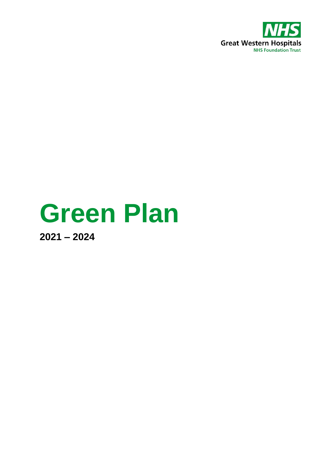

# **Green Plan**

**2021 – 2024**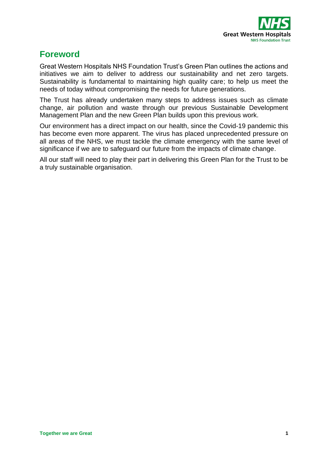

# **Foreword**

Great Western Hospitals NHS Foundation Trust's Green Plan outlines the actions and initiatives we aim to deliver to address our sustainability and net zero targets. Sustainability is fundamental to maintaining high quality care; to help us meet the needs of today without compromising the needs for future generations.

The Trust has already undertaken many steps to address issues such as climate change, air pollution and waste through our previous Sustainable Development Management Plan and the new Green Plan builds upon this previous work.

Our environment has a direct impact on our health, since the Covid-19 pandemic this has become even more apparent. The virus has placed unprecedented pressure on all areas of the NHS, we must tackle the climate emergency with the same level of significance if we are to safeguard our future from the impacts of climate change.

All our staff will need to play their part in delivering this Green Plan for the Trust to be a truly sustainable organisation.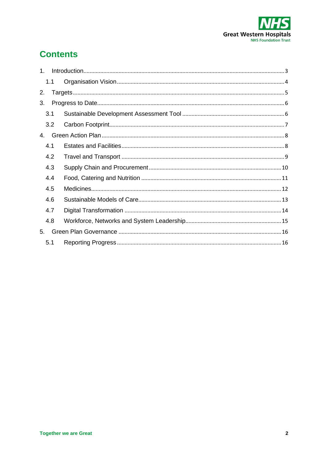

# **Contents**

| $1_{-}$     |     |  |
|-------------|-----|--|
|             | 1.1 |  |
| 2.          |     |  |
| 3.          |     |  |
|             | 3.1 |  |
|             | 3.2 |  |
| $4_{\cdot}$ |     |  |
|             | 4.1 |  |
|             | 4.2 |  |
|             | 4.3 |  |
|             | 4.4 |  |
|             | 4.5 |  |
|             | 4.6 |  |
|             | 4.7 |  |
|             | 4.8 |  |
| 5.          |     |  |
|             | 5.1 |  |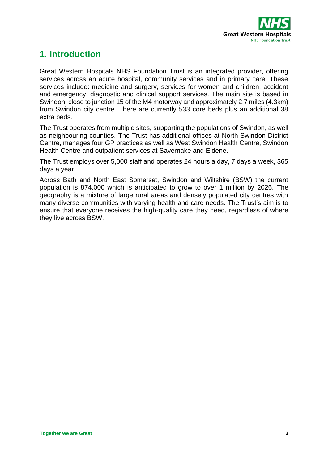

# <span id="page-3-0"></span>**1. Introduction**

Great Western Hospitals NHS Foundation Trust is an integrated provider, offering services across an acute hospital, community services and in primary care. These services include: medicine and surgery, services for women and children, accident and emergency, diagnostic and clinical support services. The main site is based in Swindon, close to junction 15 of the M4 motorway and approximately 2.7 miles (4.3km) from Swindon city centre. There are currently 533 core beds plus an additional 38 extra beds.

The Trust operates from multiple sites, supporting the populations of Swindon, as well as neighbouring counties. The Trust has additional offices at North Swindon District Centre, manages four GP practices as well as West Swindon Health Centre, Swindon Health Centre and outpatient services at Savernake and Eldene.

The Trust employs over 5,000 staff and operates 24 hours a day, 7 days a week, 365 days a year.

Across Bath and North East Somerset, Swindon and Wiltshire (BSW) the current population is 874,000 which is anticipated to grow to over 1 million by 2026. The geography is a mixture of large rural areas and densely populated city centres with many diverse communities with varying health and care needs. The Trust's aim is to ensure that everyone receives the high-quality care they need, regardless of where they live across BSW.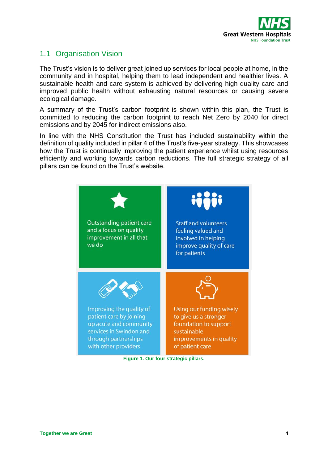

## <span id="page-4-0"></span>1.1 Organisation Vision

The Trust's vision is to deliver great joined up services for local people at home, in the community and in hospital, helping them to lead independent and healthier lives. A sustainable health and care system is achieved by delivering high quality care and improved public health without exhausting natural resources or causing severe ecological damage.

A summary of the Trust's carbon footprint is shown within this plan, the Trust is committed to reducing the carbon footprint to reach Net Zero by 2040 for direct emissions and by 2045 for indirect emissions also.

In line with the NHS Constitution the Trust has included sustainability within the definition of quality included in pillar 4 of the Trust's five-year strategy. This showcases how the Trust is continually improving the patient experience whilst using resources efficiently and working towards carbon reductions. The full strategic strategy of all pillars can be found on the Trust's website.



**Figure 1. Our four strategic pillars.**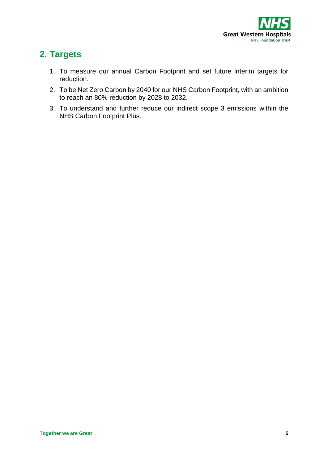

# <span id="page-5-0"></span>**2. Targets**

- 1. To measure our annual Carbon Footprint and set future interim targets for reduction.
- 2. To be Net Zero Carbon by 2040 for our NHS Carbon Footprint, with an ambition to reach an 80% reduction by 2028 to 2032.
- 3. To understand and further reduce our indirect scope 3 emissions within the NHS Carbon Footprint Plus.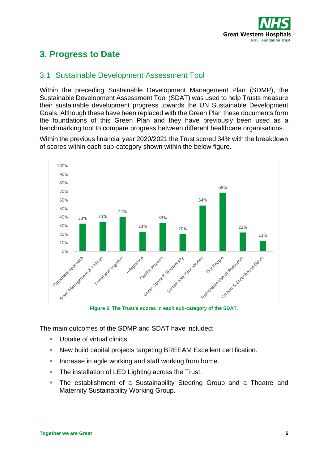

# <span id="page-6-0"></span>**3. Progress to Date**

## <span id="page-6-1"></span>3.1 Sustainable Development Assessment Tool

Within the preceding Sustainable Development Management Plan (SDMP), the Sustainable Development Assessment Tool (SDAT) was used to help Trusts measure their sustainable development progress towards the UN Sustainable Development Goals. Although these have been replaced with the Green Plan these documents form the foundations of this Green Plan and they have previously been used as a benchmarking tool to compare progress between different healthcare organisations.

Within the previous financial year 2020/2021 the Trust scored 34% with the breakdown of scores within each sub-category shown within the below figure.



**Figure 2. The Trust's scores in each sub-category of the SDAT.**

The main outcomes of the SDMP and SDAT have included:

- Uptake of virtual clinics.
- New build capital projects targeting BREEAM Excellent certification.
- Increase in agile working and staff working from home.
- **The installation of LED Lighting across the Trust.**
- **EXT** The establishment of a Sustainability Steering Group and a Theatre and Maternity Sustainability Working Group.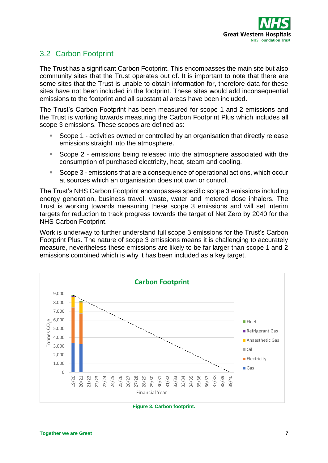

# <span id="page-7-0"></span>3.2 Carbon Footprint

The Trust has a significant Carbon Footprint. This encompasses the main site but also community sites that the Trust operates out of. It is important to note that there are some sites that the Trust is unable to obtain information for, therefore data for these sites have not been included in the footprint. These sites would add inconsequential emissions to the footprint and all substantial areas have been included.

The Trust's Carbon Footprint has been measured for scope 1 and 2 emissions and the Trust is working towards measuring the Carbon Footprint Plus which includes all scope 3 emissions. These scopes are defined as:

- Scope 1 activities owned or controlled by an organisation that directly release emissions straight into the atmosphere.
- Scope 2 emissions being released into the atmosphere associated with the consumption of purchased electricity, heat, steam and cooling.
- Scope 3 emissions that are a consequence of operational actions, which occur at sources which an organisation does not own or control.

The Trust's NHS Carbon Footprint encompasses specific scope 3 emissions including energy generation, business travel, waste, water and metered dose inhalers. The Trust is working towards measuring these scope 3 emissions and will set interim targets for reduction to track progress towards the target of Net Zero by 2040 for the NHS Carbon Footprint.

Work is underway to further understand full scope 3 emissions for the Trust's Carbon Footprint Plus. The nature of scope 3 emissions means it is challenging to accurately measure, nevertheless these emissions are likely to be far larger than scope 1 and 2 emissions combined which is why it has been included as a key target.



**Figure 3. Carbon footprint.**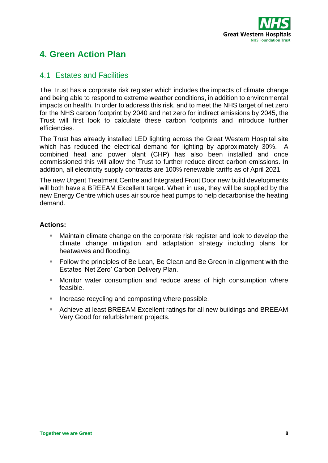

# <span id="page-8-0"></span>**4. Green Action Plan**

### <span id="page-8-1"></span>4.1 Estates and Facilities

The Trust has a corporate risk register which includes the impacts of climate change and being able to respond to extreme weather conditions, in addition to environmental impacts on health. In order to address this risk, and to meet the NHS target of net zero for the NHS carbon footprint by 2040 and net zero for indirect emissions by 2045, the Trust will first look to calculate these carbon footprints and introduce further efficiencies.

The Trust has already installed LED lighting across the Great Western Hospital site which has reduced the electrical demand for lighting by approximately 30%. A combined heat and power plant (CHP) has also been installed and once commissioned this will allow the Trust to further reduce direct carbon emissions. In addition, all electricity supply contracts are 100% renewable tariffs as of April 2021.

The new Urgent Treatment Centre and Integrated Front Door new build developments will both have a BREEAM Excellent target. When in use, they will be supplied by the new Energy Centre which uses air source heat pumps to help decarbonise the heating demand.

- Maintain climate change on the corporate risk register and look to develop the climate change mitigation and adaptation strategy including plans for heatwaves and flooding.
- Follow the principles of Be Lean, Be Clean and Be Green in alignment with the Estates 'Net Zero' Carbon Delivery Plan.
- Monitor water consumption and reduce areas of high consumption where feasible.
- Increase recycling and composting where possible.
- Achieve at least BREEAM Excellent ratings for all new buildings and BREEAM Very Good for refurbishment projects.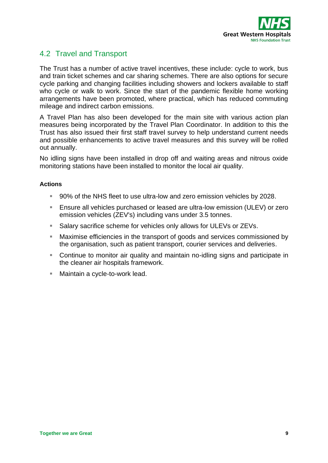

## <span id="page-9-0"></span>4.2 Travel and Transport

The Trust has a number of active travel incentives, these include: cycle to work, bus and train ticket schemes and car sharing schemes. There are also options for secure cycle parking and changing facilities including showers and lockers available to staff who cycle or walk to work. Since the start of the pandemic flexible home working arrangements have been promoted, where practical, which has reduced commuting mileage and indirect carbon emissions.

A Travel Plan has also been developed for the main site with various action plan measures being incorporated by the Travel Plan Coordinator. In addition to this the Trust has also issued their first staff travel survey to help understand current needs and possible enhancements to active travel measures and this survey will be rolled out annually.

No idling signs have been installed in drop off and waiting areas and nitrous oxide monitoring stations have been installed to monitor the local air quality.

- 90% of the NHS fleet to use ultra-low and zero emission vehicles by 2028.
- Ensure all vehicles purchased or leased are ultra-low emission (ULEV) or zero emission vehicles (ZEV's) including vans under 3.5 tonnes.
- Salary sacrifice scheme for vehicles only allows for ULEVs or ZEVs.
- Maximise efficiencies in the transport of goods and services commissioned by the organisation, such as patient transport, courier services and deliveries.
- Continue to monitor air quality and maintain no-idling signs and participate in the cleaner air hospitals framework.
- Maintain a cycle-to-work lead.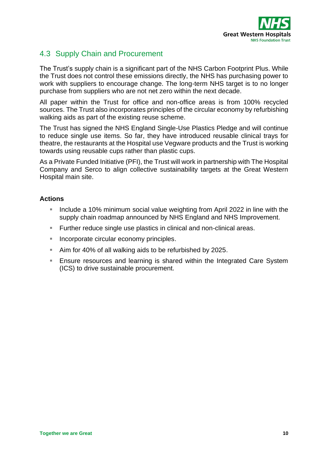

# <span id="page-10-0"></span>4.3 Supply Chain and Procurement

The Trust's supply chain is a significant part of the NHS Carbon Footprint Plus. While the Trust does not control these emissions directly, the NHS has purchasing power to work with suppliers to encourage change. The long-term NHS target is to no longer purchase from suppliers who are not net zero within the next decade.

All paper within the Trust for office and non-office areas is from 100% recycled sources. The Trust also incorporates principles of the circular economy by refurbishing walking aids as part of the existing reuse scheme.

The Trust has signed the NHS England Single-Use Plastics Pledge and will continue to reduce single use items. So far, they have introduced reusable clinical trays for theatre, the restaurants at the Hospital use Vegware products and the Trust is working towards using reusable cups rather than plastic cups.

As a Private Funded Initiative (PFI), the Trust will work in partnership with The Hospital Company and Serco to align collective sustainability targets at the Great Western Hospital main site.

- **E** Include a 10% minimum social value weighting from April 2022 in line with the supply chain roadmap announced by NHS England and NHS Improvement.
- Further reduce single use plastics in clinical and non-clinical areas.
- Incorporate circular economy principles.
- Aim for 40% of all walking aids to be refurbished by 2025.
- **Ensure resources and learning is shared within the Integrated Care System** (ICS) to drive sustainable procurement.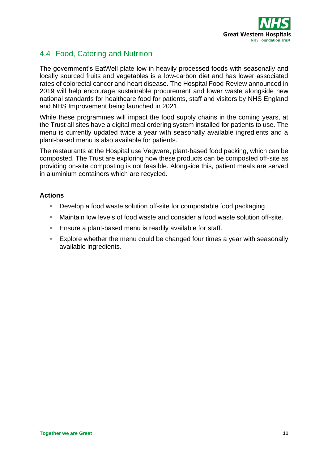

# <span id="page-11-0"></span>4.4 Food, Catering and Nutrition

The government's EatWell plate low in heavily processed foods with seasonally and locally sourced fruits and vegetables is a low-carbon diet and has lower associated rates of colorectal cancer and heart disease. The Hospital Food Review announced in 2019 will help encourage sustainable procurement and lower waste alongside new national standards for healthcare food for patients, staff and visitors by NHS England and NHS Improvement being launched in 2021.

While these programmes will impact the food supply chains in the coming years, at the Trust all sites have a digital meal ordering system installed for patients to use. The menu is currently updated twice a year with seasonally available ingredients and a plant-based menu is also available for patients.

The restaurants at the Hospital use Vegware, plant-based food packing, which can be composted. The Trust are exploring how these products can be composted off-site as providing on-site composting is not feasible. Alongside this, patient meals are served in aluminium containers which are recycled.

- Develop a food waste solution off-site for compostable food packaging.
- Maintain low levels of food waste and consider a food waste solution off-site.
- Ensure a plant-based menu is readily available for staff.
- Explore whether the menu could be changed four times a vear with seasonally available ingredients.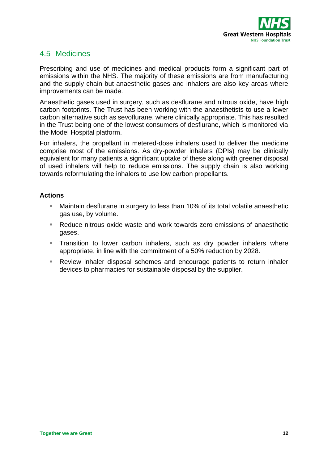

## <span id="page-12-0"></span>4.5 Medicines

Prescribing and use of medicines and medical products form a significant part of emissions within the NHS. The majority of these emissions are from manufacturing and the supply chain but anaesthetic gases and inhalers are also key areas where improvements can be made.

Anaesthetic gases used in surgery, such as desflurane and nitrous oxide, have high carbon footprints. The Trust has been working with the anaesthetists to use a lower carbon alternative such as sevoflurane, where clinically appropriate. This has resulted in the Trust being one of the lowest consumers of desflurane, which is monitored via the Model Hospital platform.

For inhalers, the propellant in metered-dose inhalers used to deliver the medicine comprise most of the emissions. As dry-powder inhalers (DPIs) may be clinically equivalent for many patients a significant uptake of these along with greener disposal of used inhalers will help to reduce emissions. The supply chain is also working towards reformulating the inhalers to use low carbon propellants.

- Maintain desflurane in surgery to less than 10% of its total volatile anaesthetic gas use, by volume.
- Reduce nitrous oxide waste and work towards zero emissions of anaesthetic gases.
- **EXT** Transition to lower carbon inhalers, such as dry powder inhalers where appropriate, in line with the commitment of a 50% reduction by 2028.
- Review inhaler disposal schemes and encourage patients to return inhaler devices to pharmacies for sustainable disposal by the supplier.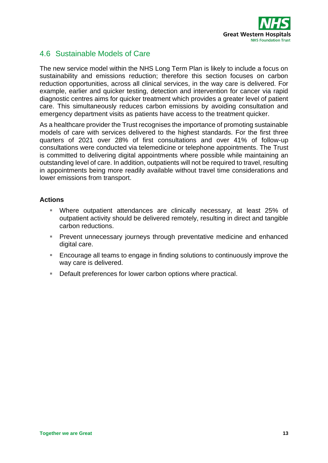

# <span id="page-13-0"></span>4.6 Sustainable Models of Care

The new service model within the NHS Long Term Plan is likely to include a focus on sustainability and emissions reduction; therefore this section focuses on carbon reduction opportunities, across all clinical services, in the way care is delivered. For example, earlier and quicker testing, detection and intervention for cancer via rapid diagnostic centres aims for quicker treatment which provides a greater level of patient care. This simultaneously reduces carbon emissions by avoiding consultation and emergency department visits as patients have access to the treatment quicker.

As a healthcare provider the Trust recognises the importance of promoting sustainable models of care with services delivered to the highest standards. For the first three quarters of 2021 over 28% of first consultations and over 41% of follow-up consultations were conducted via telemedicine or telephone appointments. The Trust is committed to delivering digital appointments where possible while maintaining an outstanding level of care. In addition, outpatients will not be required to travel, resulting in appointments being more readily available without travel time considerations and lower emissions from transport.

- Where outpatient attendances are clinically necessary, at least 25% of outpatient activity should be delivered remotely, resulting in direct and tangible carbon reductions.
- **•** Prevent unnecessary journeys through preventative medicine and enhanced digital care.
- Encourage all teams to engage in finding solutions to continuously improve the way care is delivered.
- Default preferences for lower carbon options where practical.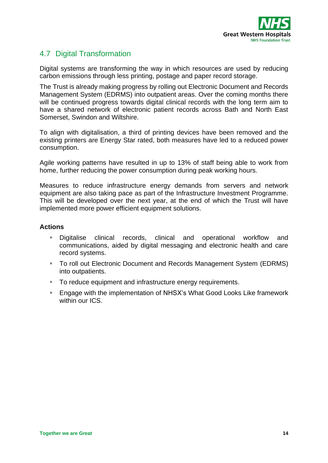

# <span id="page-14-0"></span>4.7 Digital Transformation

Digital systems are transforming the way in which resources are used by reducing carbon emissions through less printing, postage and paper record storage.

The Trust is already making progress by rolling out Electronic Document and Records Management System (EDRMS) into outpatient areas. Over the coming months there will be continued progress towards digital clinical records with the long term aim to have a shared network of electronic patient records across Bath and North East Somerset, Swindon and Wiltshire.

To align with digitalisation, a third of printing devices have been removed and the existing printers are Energy Star rated, both measures have led to a reduced power consumption.

Agile working patterns have resulted in up to 13% of staff being able to work from home, further reducing the power consumption during peak working hours.

Measures to reduce infrastructure energy demands from servers and network equipment are also taking pace as part of the Infrastructure Investment Programme. This will be developed over the next year, at the end of which the Trust will have implemented more power efficient equipment solutions.

- Digitalise clinical records, clinical and operational workflow and communications, aided by digital messaging and electronic health and care record systems.
- To roll out Electronic Document and Records Management System (EDRMS) into outpatients.
- To reduce equipment and infrastructure energy requirements.
- Engage with the implementation of NHSX's What Good Looks Like framework within our ICS.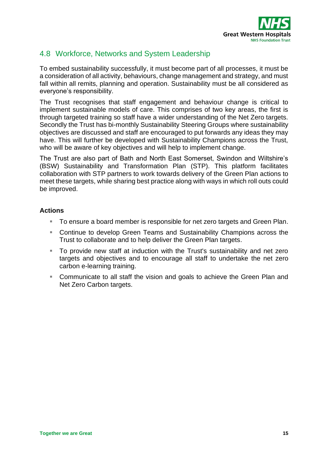

# <span id="page-15-0"></span>4.8 Workforce, Networks and System Leadership

To embed sustainability successfully, it must become part of all processes, it must be a consideration of all activity, behaviours, change management and strategy, and must fall within all remits, planning and operation. Sustainability must be all considered as everyone's responsibility.

The Trust recognises that staff engagement and behaviour change is critical to implement sustainable models of care. This comprises of two key areas, the first is through targeted training so staff have a wider understanding of the Net Zero targets. Secondly the Trust has bi-monthly Sustainability Steering Groups where sustainability objectives are discussed and staff are encouraged to put forwards any ideas they may have. This will further be developed with Sustainability Champions across the Trust, who will be aware of key objectives and will help to implement change.

The Trust are also part of Bath and North East Somerset, Swindon and Wiltshire's (BSW) Sustainability and Transformation Plan (STP). This platform facilitates collaboration with STP partners to work towards delivery of the Green Plan actions to meet these targets, while sharing best practice along with ways in which roll outs could be improved.

- To ensure a board member is responsible for net zero targets and Green Plan.
- Continue to develop Green Teams and Sustainability Champions across the Trust to collaborate and to help deliver the Green Plan targets.
- To provide new staff at induction with the Trust's sustainability and net zero targets and objectives and to encourage all staff to undertake the net zero carbon e-learning training.
- Communicate to all staff the vision and goals to achieve the Green Plan and Net Zero Carbon targets.